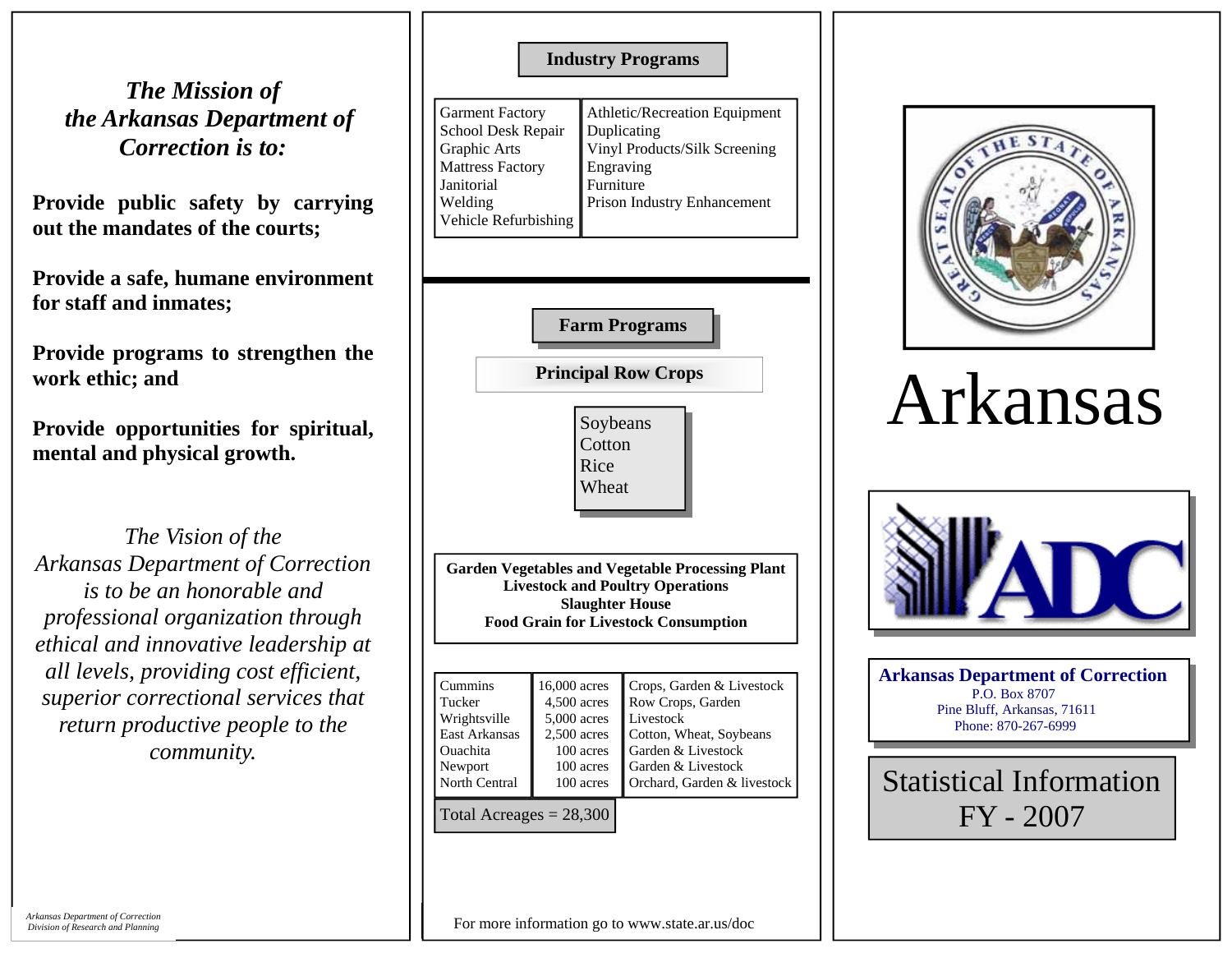*The Mission of the Arkansas Department of Correction is to:* 

**Provide public safety by carrying out the mandates of the courts;** 

**Provide a safe, humane environment for staff and inmates;** 

**Provide programs to strengthen the work ethic; and** 

**Provide opportunities for spiritual, mental and physical growth.** 

*The Vision of the Arkansas Department of Correction is to be an honorable and professional organization through ethical and innovative leadership at all levels, providing cost efficient, superior correctional services that return productive people to the community.* 

**Industry Programs** 

| <b>Garment Factory</b><br>School Desk Repair | Athletic/Recreation Equipment<br>Duplicating |
|----------------------------------------------|----------------------------------------------|
| Graphic Arts                                 | Vinyl Products/Silk Screening                |
| <b>Mattress Factory</b>                      | Engraving                                    |
| Janitorial                                   | Furniture                                    |
| Welding                                      | Prison Industry Enhancement                  |
| Vehicle Refurbishing                         |                                              |
|                                              |                                              |





## Arkansas



**Arkansas Department of Correction**  P.O. Box 8707 Pine Bluff, Arkansas, 71611 Phone: 870-267-6999



For more information go to www.state.ar.us/doc

 100 acres 100 acres 100 acres

Total Acreages  $= 28,300$ 

Garden & Livestock Garden & Livestock Orchard, Garden & livestock

Ouachita Newport North Central